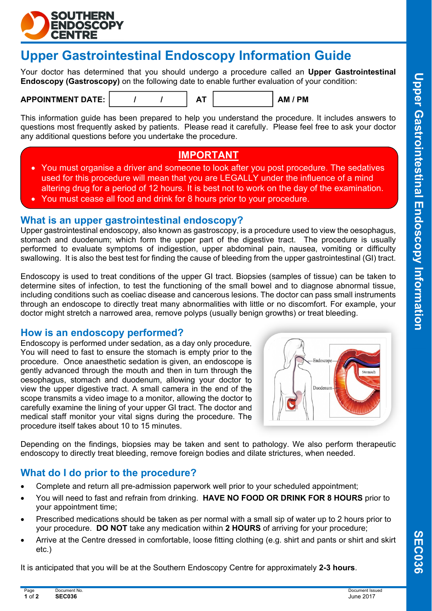

# **Upper Gastrointestinal Endoscopy Information Guide**

Your doctor has determined that you should undergo a procedure called an **Upper Gastrointestinal Endoscopy (Gastroscopy)** on the following date to enable further evaluation of your condition:

#### APPOINTMENT DATE:  $\vert$  / / / | AT | AM / PM

This information guide has been prepared to help you understand the procedure. It includes answers to questions most frequently asked by patients. Please read it carefully. Please feel free to ask your doctor any additional questions before you undertake the procedure.

## **IMPORTANT**

- You must organise a driver and someone to look after you post procedure. The sedatives used for this procedure will mean that you are LEGALLY under the influence of a mind altering drug for a period of 12 hours. It is best not to work on the day of the examination.
- You must cease all food and drink for 8 hours prior to your procedure.

### **What is an upper gastrointestinal endoscopy?**

Upper gastrointestinal endoscopy, also known as gastroscopy, is a procedure used to view the oesophagus, stomach and duodenum; which form the upper part of the digestive tract. The procedure is usually performed to evaluate symptoms of indigestion, upper abdominal pain, nausea, vomiting or difficulty swallowing. It is also the best test for finding the cause of bleeding from the upper gastrointestinal (GI) tract.

Endoscopy is used to treat conditions of the upper GI tract. Biopsies (samples of tissue) can be taken to determine sites of infection, to test the functioning of the small bowel and to diagnose abnormal tissue, including conditions such as coeliac disease and cancerous lesions. The doctor can pass small instruments through an endoscope to directly treat many abnormalities with little or no discomfort. For example, your doctor might stretch a narrowed area, remove polyps (usually benign growths) or treat bleeding.

## **How is an endoscopy performed?**

Endoscopy is performed under sedation, as a day only procedure. You will need to fast to ensure the stomach is empty prior to the procedure. Once anaesthetic sedation is given, an endoscope is gently advanced through the mouth and then in turn through the oesophagus, stomach and duodenum, allowing your doctor to view the upper digestive tract. A small camera in the end of the scope transmits a video image to a monitor, allowing the doctor to carefully examine the lining of your upper GI tract. The doctor and medical staff monitor your vital signs during the procedure. The procedure itself takes about 10 to 15 minutes.



Depending on the findings, biopsies may be taken and sent to pathology. We also perform therapeutic endoscopy to directly treat bleeding, remove foreign bodies and dilate strictures, when needed.

## **What do I do prior to the procedure?**

- Complete and return all pre-admission paperwork well prior to your scheduled appointment;
- You will need to fast and refrain from drinking. **HAVE NO FOOD OR DRINK FOR 8 HOURS** prior to your appointment time;
- Prescribed medications should be taken as per normal with a small sip of water up to 2 hours prior to your procedure. **DO NOT** take any medication within **2 HOURS** of arriving for your procedure;
- Arrive at the Centre dressed in comfortable, loose fitting clothing (e.g. shirt and pants or shirt and skirt etc.)

It is anticipated that you will be at the Southern Endoscopy Centre for approximately **2-3 hours**.